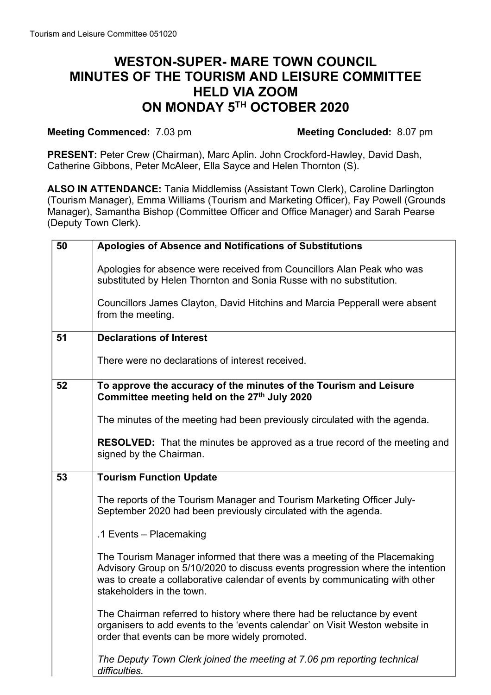## **WESTON-SUPER- MARE TOWN COUNCIL MINUTES OF THE TOURISM AND LEISURE COMMITTEE HELD VIA ZOOM ON MONDAY 5TH OCTOBER 2020**

## **Meeting Commenced:** 7.03 pm **Meeting Concluded:** 8.07 pm

**PRESENT:** Peter Crew (Chairman), Marc Aplin. John Crockford-Hawley, David Dash, Catherine Gibbons, Peter McAleer, Ella Sayce and Helen Thornton (S).

**ALSO IN ATTENDANCE:** Tania Middlemiss (Assistant Town Clerk), Caroline Darlington (Tourism Manager), Emma Williams (Tourism and Marketing Officer), Fay Powell (Grounds Manager), Samantha Bishop (Committee Officer and Office Manager) and Sarah Pearse (Deputy Town Clerk).

| 50 | Apologies of Absence and Notifications of Substitutions                                                                                                                                                                                                                |
|----|------------------------------------------------------------------------------------------------------------------------------------------------------------------------------------------------------------------------------------------------------------------------|
|    | Apologies for absence were received from Councillors Alan Peak who was<br>substituted by Helen Thornton and Sonia Russe with no substitution.                                                                                                                          |
|    | Councillors James Clayton, David Hitchins and Marcia Pepperall were absent<br>from the meeting.                                                                                                                                                                        |
| 51 | <b>Declarations of Interest</b>                                                                                                                                                                                                                                        |
|    | There were no declarations of interest received.                                                                                                                                                                                                                       |
| 52 | To approve the accuracy of the minutes of the Tourism and Leisure<br>Committee meeting held on the 27th July 2020                                                                                                                                                      |
|    | The minutes of the meeting had been previously circulated with the agenda.                                                                                                                                                                                             |
|    | <b>RESOLVED:</b> That the minutes be approved as a true record of the meeting and<br>signed by the Chairman.                                                                                                                                                           |
| 53 | <b>Tourism Function Update</b>                                                                                                                                                                                                                                         |
|    | The reports of the Tourism Manager and Tourism Marketing Officer July-<br>September 2020 had been previously circulated with the agenda.                                                                                                                               |
|    | .1 Events - Placemaking                                                                                                                                                                                                                                                |
|    | The Tourism Manager informed that there was a meeting of the Placemaking<br>Advisory Group on 5/10/2020 to discuss events progression where the intention<br>was to create a collaborative calendar of events by communicating with other<br>stakeholders in the town. |
|    | The Chairman referred to history where there had be reluctance by event<br>organisers to add events to the 'events calendar' on Visit Weston website in<br>order that events can be more widely promoted.                                                              |
|    | The Deputy Town Clerk joined the meeting at 7.06 pm reporting technical<br>difficulties.                                                                                                                                                                               |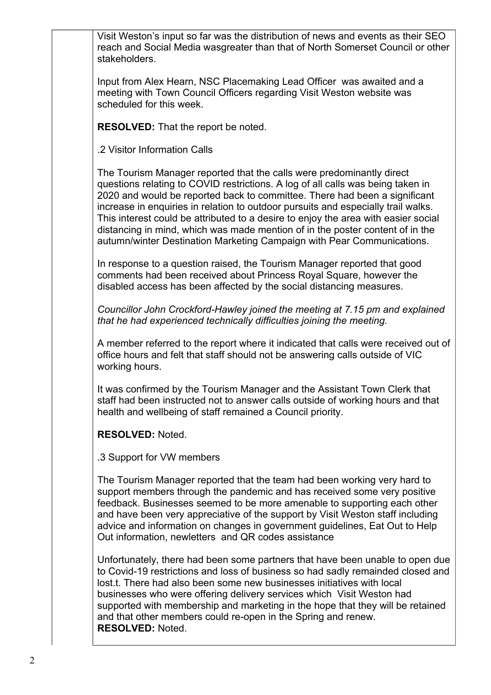Visit Weston's input so far was the distribution of news and events as their SEO reach and Social Media wasgreater than that of North Somerset Council or other stakeholders.

Input from Alex Hearn, NSC Placemaking Lead Officer was awaited and a meeting with Town Council Officers regarding Visit Weston website was scheduled for this week.

**RESOLVED:** That the report be noted.

.2 Visitor Information Calls

The Tourism Manager reported that the calls were predominantly direct questions relating to COVID restrictions. A log of all calls was being taken in 2020 and would be reported back to committee. There had been a significant increase in enquiries in relation to outdoor pursuits and especially trail walks. This interest could be attributed to a desire to enjoy the area with easier social distancing in mind, which was made mention of in the poster content of in the autumn/winter Destination Marketing Campaign with Pear Communications.

In response to a question raised, the Tourism Manager reported that good comments had been received about Princess Royal Square, however the disabled access has been affected by the social distancing measures.

*Councillor John Crockford-Hawley joined the meeting at 7.15 pm and explained that he had experienced technically difficulties joining the meeting.*

A member referred to the report where it indicated that calls were received out of office hours and felt that staff should not be answering calls outside of VIC working hours.

It was confirmed by the Tourism Manager and the Assistant Town Clerk that staff had been instructed not to answer calls outside of working hours and that health and wellbeing of staff remained a Council priority.

**RESOLVED:** Noted.

.3 Support for VW members

The Tourism Manager reported that the team had been working very hard to support members through the pandemic and has received some very positive feedback. Businesses seemed to be more amenable to supporting each other and have been very appreciative of the support by Visit Weston staff including advice and information on changes in government guidelines, Eat Out to Help Out information, newletters and QR codes assistance

Unfortunately, there had been some partners that have been unable to open due to Covid-19 restrictions and loss of business so had sadly remainded closed and lost.t. There had also been some new businesses initiatives with local businesses who were offering delivery services which Visit Weston had supported with membership and marketing in the hope that they will be retained and that other members could re-open in the Spring and renew. **RESOLVED:** Noted.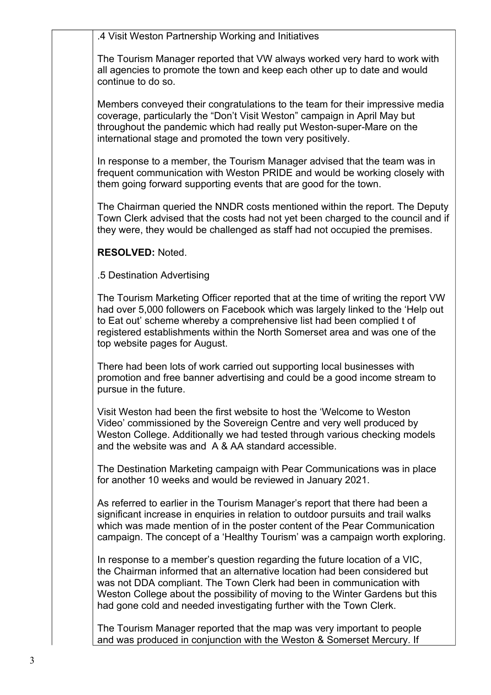.4 Visit Weston Partnership Working and Initiatives

The Tourism Manager reported that VW always worked very hard to work with all agencies to promote the town and keep each other up to date and would continue to do so.

Members conveyed their congratulations to the team for their impressive media coverage, particularly the "Don't Visit Weston" campaign in April May but throughout the pandemic which had really put Weston-super-Mare on the international stage and promoted the town very positively.

In response to a member, the Tourism Manager advised that the team was in frequent communication with Weston PRIDE and would be working closely with them going forward supporting events that are good for the town.

The Chairman queried the NNDR costs mentioned within the report. The Deputy Town Clerk advised that the costs had not yet been charged to the council and if they were, they would be challenged as staff had not occupied the premises.

**RESOLVED:** Noted.

.5 Destination Advertising

The Tourism Marketing Officer reported that at the time of writing the report VW had over 5,000 followers on Facebook which was largely linked to the 'Help out to Eat out' scheme whereby a comprehensive list had been complied t of registered establishments within the North Somerset area and was one of the top website pages for August.

There had been lots of work carried out supporting local businesses with promotion and free banner advertising and could be a good income stream to pursue in the future.

Visit Weston had been the first website to host the 'Welcome to Weston Video' commissioned by the Sovereign Centre and very well produced by Weston College. Additionally we had tested through various checking models and the website was and A & AA standard accessible.

The Destination Marketing campaign with Pear Communications was in place for another 10 weeks and would be reviewed in January 2021.

As referred to earlier in the Tourism Manager's report that there had been a significant increase in enquiries in relation to outdoor pursuits and trail walks which was made mention of in the poster content of the Pear Communication campaign. The concept of a 'Healthy Tourism' was a campaign worth exploring.

In response to a member's question regarding the future location of a VIC, the Chairman informed that an alternative location had been considered but was not DDA compliant. The Town Clerk had been in communication with Weston College about the possibility of moving to the Winter Gardens but this had gone cold and needed investigating further with the Town Clerk.

The Tourism Manager reported that the map was very important to people and was produced in conjunction with the Weston & Somerset Mercury. If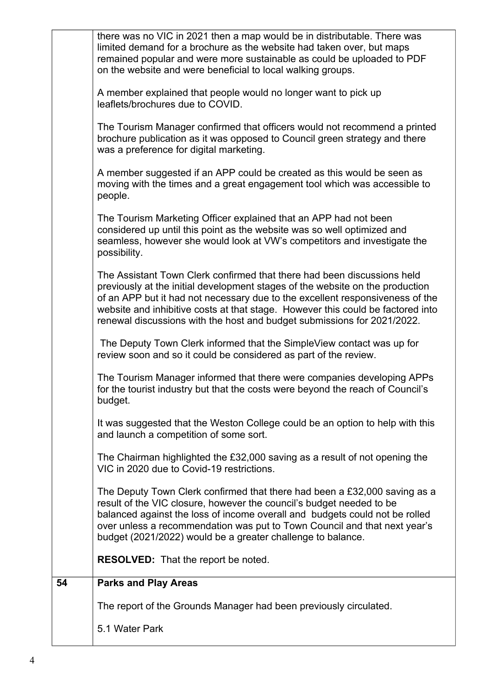|    | The report of the Grounds Manager had been previously circulated.<br>5.1 Water Park                                                                                                                                                                                                                                                                                                                     |
|----|---------------------------------------------------------------------------------------------------------------------------------------------------------------------------------------------------------------------------------------------------------------------------------------------------------------------------------------------------------------------------------------------------------|
| 54 | <b>RESOLVED:</b> That the report be noted.<br><b>Parks and Play Areas</b>                                                                                                                                                                                                                                                                                                                               |
|    | The Deputy Town Clerk confirmed that there had been a £32,000 saving as a<br>result of the VIC closure, however the council's budget needed to be<br>balanced against the loss of income overall and budgets could not be rolled<br>over unless a recommendation was put to Town Council and that next year's<br>budget (2021/2022) would be a greater challenge to balance.                            |
|    | The Chairman highlighted the £32,000 saving as a result of not opening the<br>VIC in 2020 due to Covid-19 restrictions.                                                                                                                                                                                                                                                                                 |
|    | It was suggested that the Weston College could be an option to help with this<br>and launch a competition of some sort.                                                                                                                                                                                                                                                                                 |
|    | The Tourism Manager informed that there were companies developing APPs<br>for the tourist industry but that the costs were beyond the reach of Council's<br>budget.                                                                                                                                                                                                                                     |
|    | The Deputy Town Clerk informed that the SimpleView contact was up for<br>review soon and so it could be considered as part of the review.                                                                                                                                                                                                                                                               |
|    | The Assistant Town Clerk confirmed that there had been discussions held<br>previously at the initial development stages of the website on the production<br>of an APP but it had not necessary due to the excellent responsiveness of the<br>website and inhibitive costs at that stage. However this could be factored into<br>renewal discussions with the host and budget submissions for 2021/2022. |
|    | The Tourism Marketing Officer explained that an APP had not been<br>considered up until this point as the website was so well optimized and<br>seamless, however she would look at VW's competitors and investigate the<br>possibility.                                                                                                                                                                 |
|    | A member suggested if an APP could be created as this would be seen as<br>moving with the times and a great engagement tool which was accessible to<br>people.                                                                                                                                                                                                                                          |
|    | The Tourism Manager confirmed that officers would not recommend a printed<br>brochure publication as it was opposed to Council green strategy and there<br>was a preference for digital marketing.                                                                                                                                                                                                      |
|    | A member explained that people would no longer want to pick up<br>leaflets/brochures due to COVID.                                                                                                                                                                                                                                                                                                      |
|    | there was no VIC in 2021 then a map would be in distributable. There was<br>limited demand for a brochure as the website had taken over, but maps<br>remained popular and were more sustainable as could be uploaded to PDF<br>on the website and were beneficial to local walking groups.                                                                                                              |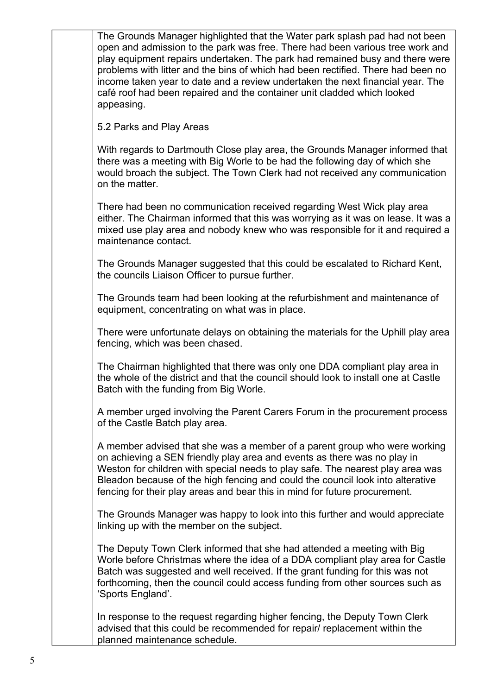The Grounds Manager highlighted that the Water park splash pad had not been open and admission to the park was free. There had been various tree work and play equipment repairs undertaken. The park had remained busy and there were problems with litter and the bins of which had been rectified. There had been no income taken year to date and a review undertaken the next financial year. The café roof had been repaired and the container unit cladded which looked appeasing.

5.2 Parks and Play Areas

With regards to Dartmouth Close play area, the Grounds Manager informed that there was a meeting with Big Worle to be had the following day of which she would broach the subject. The Town Clerk had not received any communication on the matter.

There had been no communication received regarding West Wick play area either. The Chairman informed that this was worrying as it was on lease. It was a mixed use play area and nobody knew who was responsible for it and required a maintenance contact.

The Grounds Manager suggested that this could be escalated to Richard Kent, the councils Liaison Officer to pursue further.

The Grounds team had been looking at the refurbishment and maintenance of equipment, concentrating on what was in place.

There were unfortunate delays on obtaining the materials for the Uphill play area fencing, which was been chased.

The Chairman highlighted that there was only one DDA compliant play area in the whole of the district and that the council should look to install one at Castle Batch with the funding from Big Worle.

A member urged involving the Parent Carers Forum in the procurement process of the Castle Batch play area.

A member advised that she was a member of a parent group who were working on achieving a SEN friendly play area and events as there was no play in Weston for children with special needs to play safe. The nearest play area was Bleadon because of the high fencing and could the council look into alterative fencing for their play areas and bear this in mind for future procurement.

The Grounds Manager was happy to look into this further and would appreciate linking up with the member on the subject.

The Deputy Town Clerk informed that she had attended a meeting with Big Worle before Christmas where the idea of a DDA compliant play area for Castle Batch was suggested and well received. If the grant funding for this was not forthcoming, then the council could access funding from other sources such as 'Sports England'.

In response to the request regarding higher fencing, the Deputy Town Clerk advised that this could be recommended for repair/ replacement within the planned maintenance schedule.